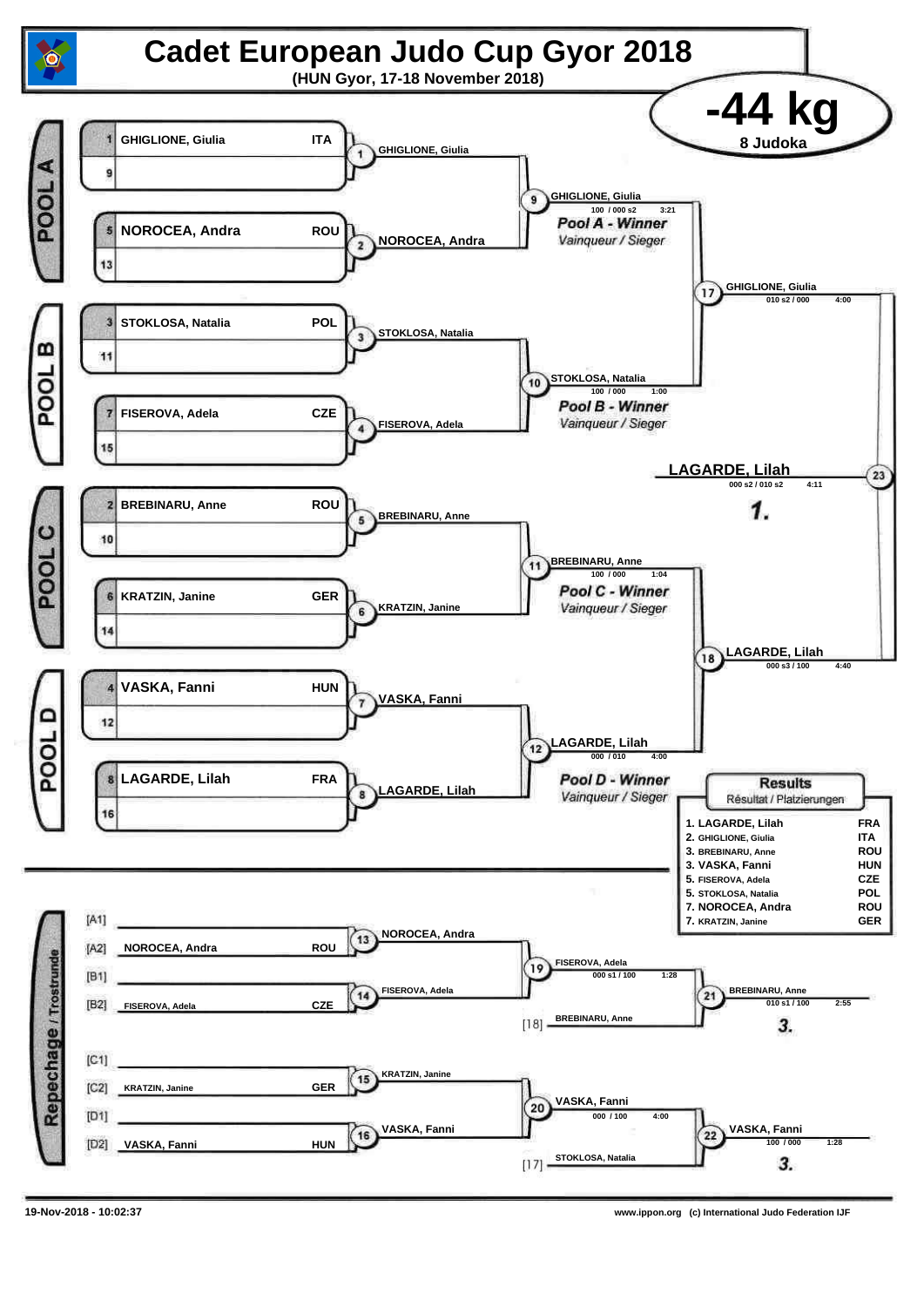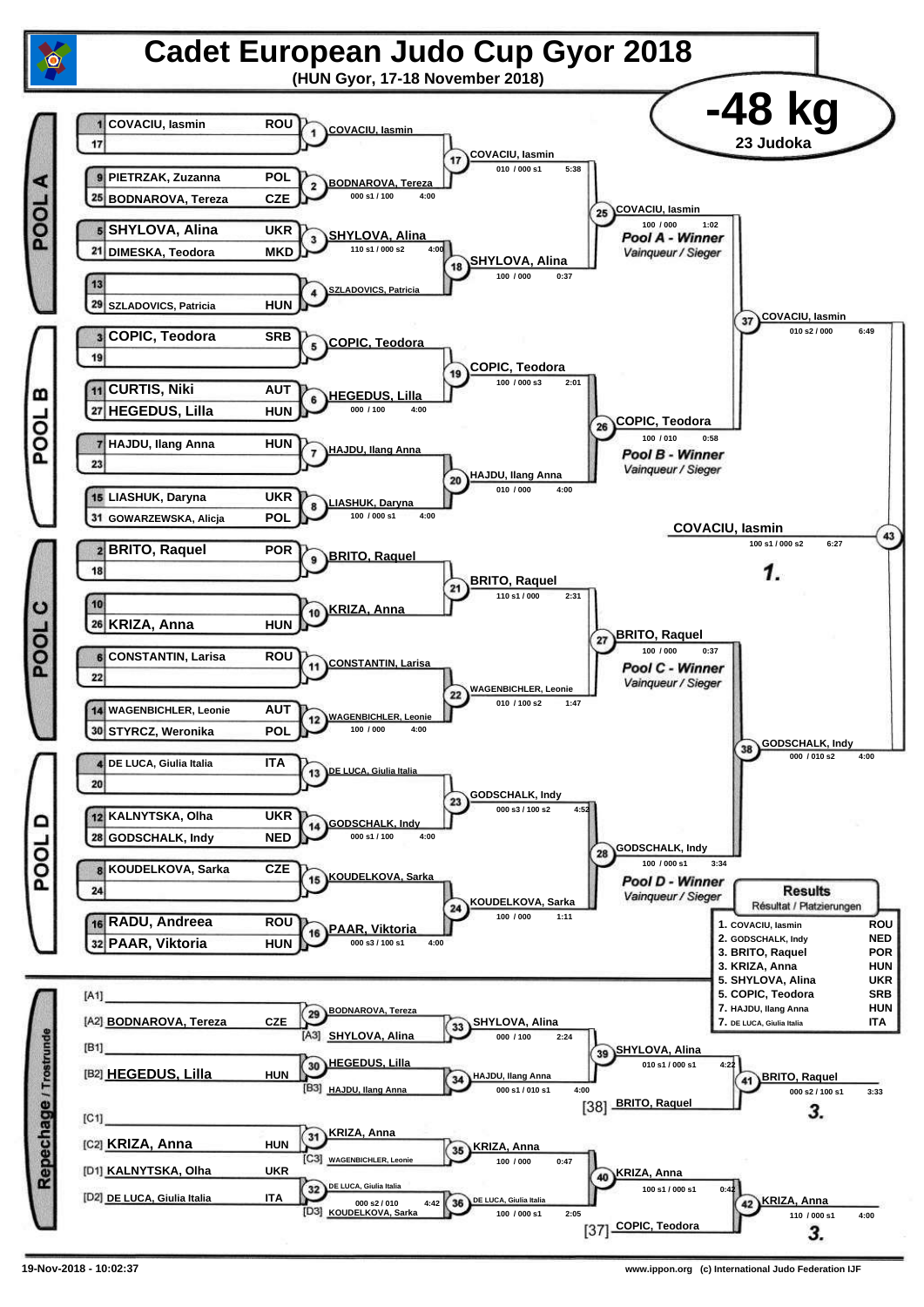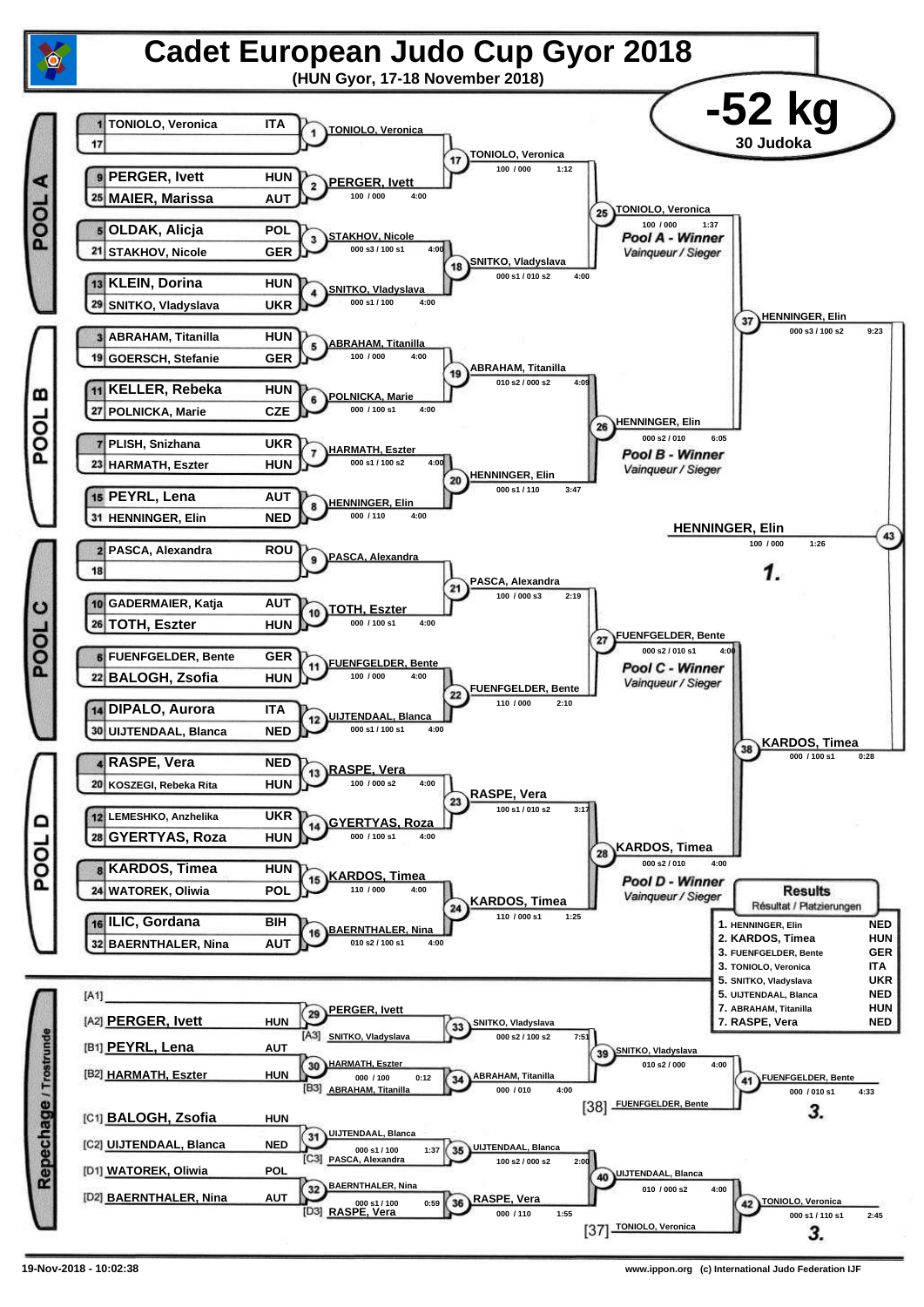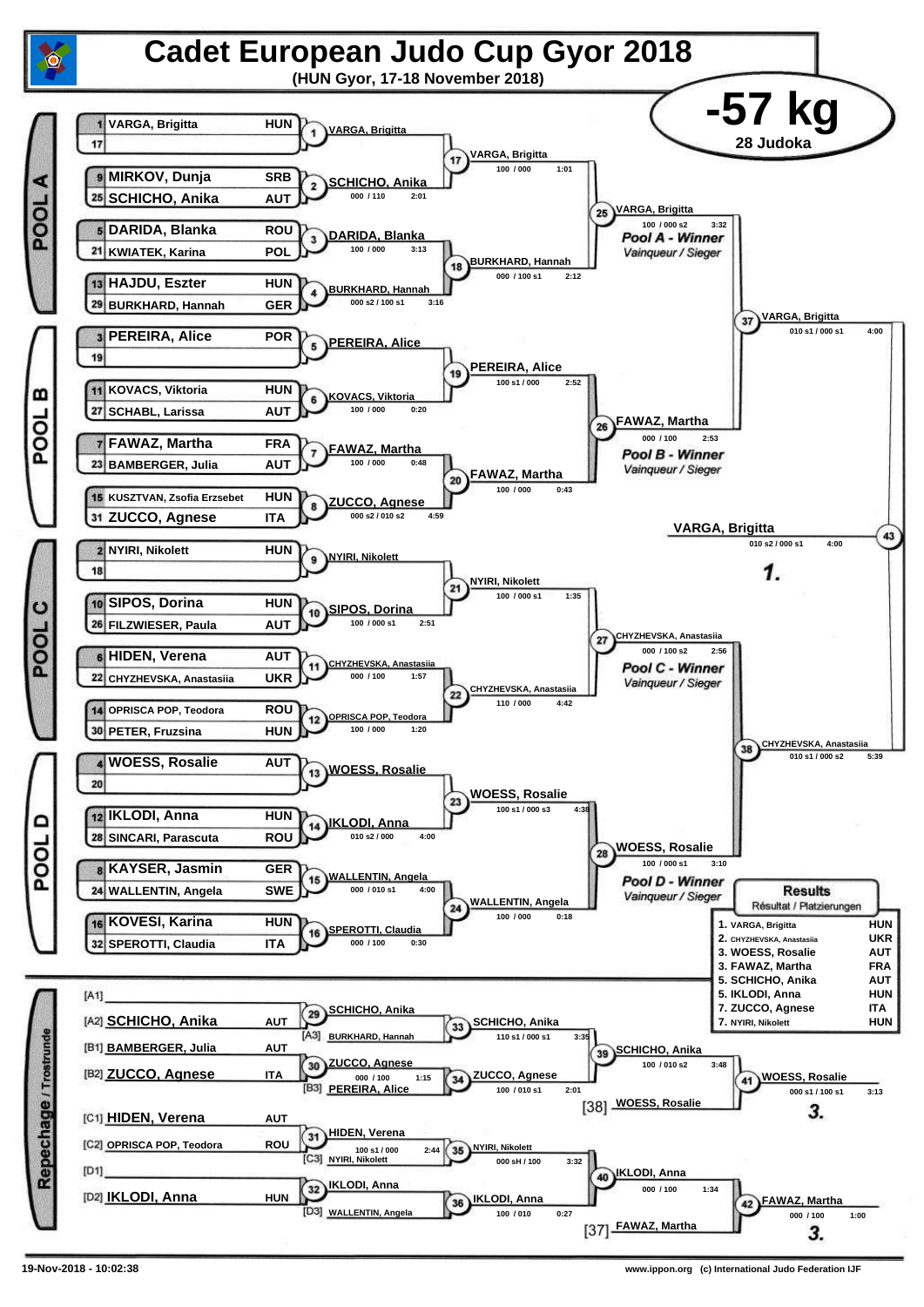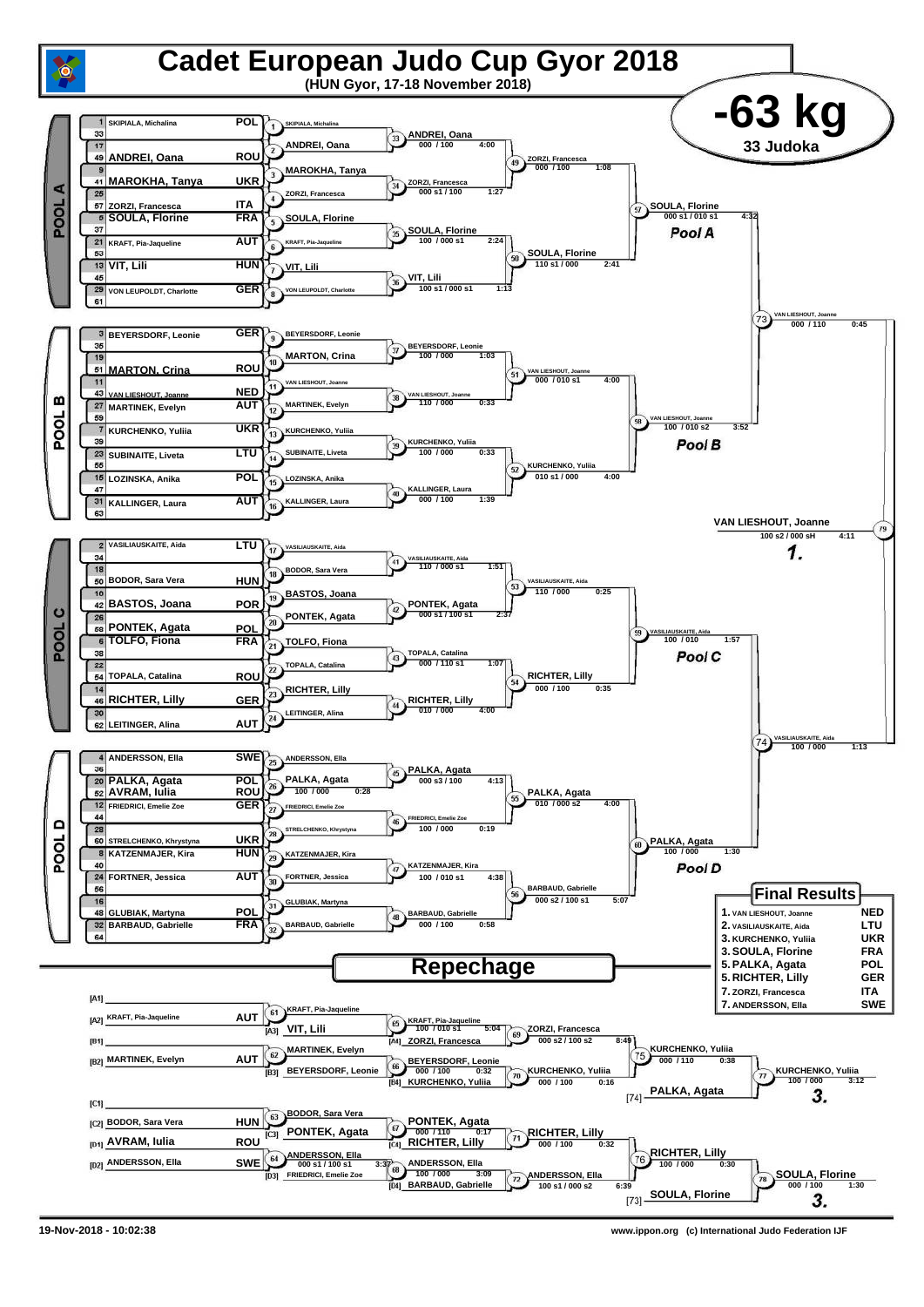

**<sup>19-</sup>Nov-2018 - 10:02:38 www.ippon.org (c) International Judo Federation IJF**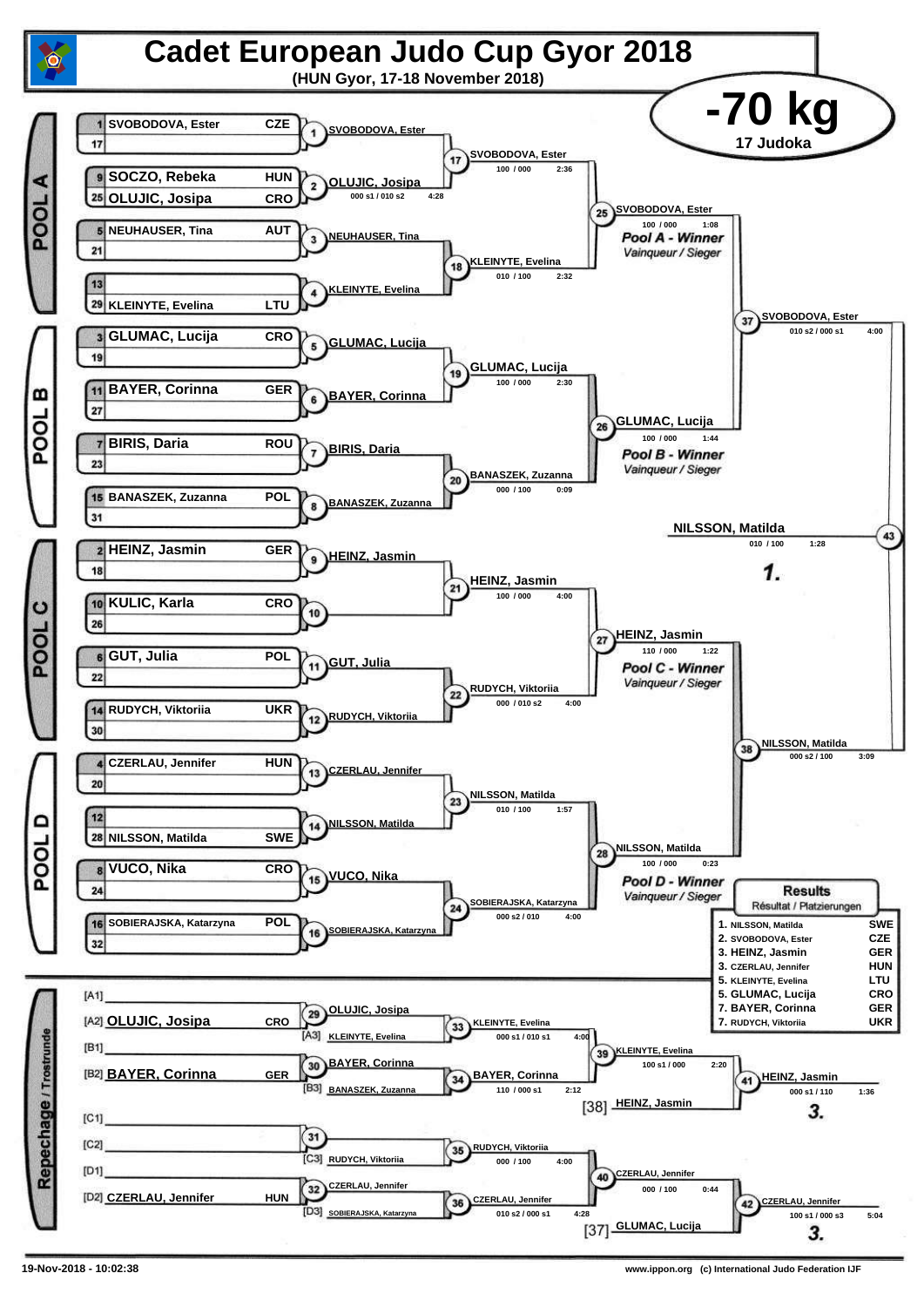